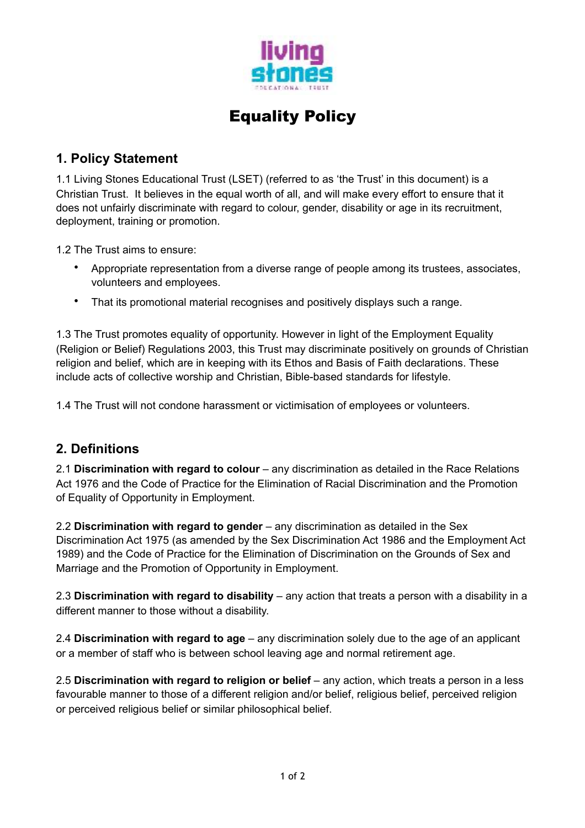

## Equality Policy

## **1. Policy Statement**

1.1 Living Stones Educational Trust (LSET) (referred to as 'the Trust' in this document) is a Christian Trust. It believes in the equal worth of all, and will make every effort to ensure that it does not unfairly discriminate with regard to colour, gender, disability or age in its recruitment, deployment, training or promotion.

1.2 The Trust aims to ensure:

- Appropriate representation from a diverse range of people among its trustees, associates, volunteers and employees.
- That its promotional material recognises and positively displays such a range.

1.3 The Trust promotes equality of opportunity. However in light of the Employment Equality (Religion or Belief) Regulations 2003, this Trust may discriminate positively on grounds of Christian religion and belief, which are in keeping with its Ethos and Basis of Faith declarations. These include acts of collective worship and Christian, Bible-based standards for lifestyle.

1.4 The Trust will not condone harassment or victimisation of employees or volunteers.

## **2. Definitions**

2.1 **Discrimination with regard to colour** – any discrimination as detailed in the Race Relations Act 1976 and the Code of Practice for the Elimination of Racial Discrimination and the Promotion of Equality of Opportunity in Employment.

2.2 **Discrimination with regard to gender** – any discrimination as detailed in the Sex Discrimination Act 1975 (as amended by the Sex Discrimination Act 1986 and the Employment Act 1989) and the Code of Practice for the Elimination of Discrimination on the Grounds of Sex and Marriage and the Promotion of Opportunity in Employment.

2.3 **Discrimination with regard to disability** – any action that treats a person with a disability in a different manner to those without a disability.

2.4 **Discrimination with regard to age** – any discrimination solely due to the age of an applicant or a member of staff who is between school leaving age and normal retirement age.

2.5 **Discrimination with regard to religion or belief** – any action, which treats a person in a less favourable manner to those of a different religion and/or belief, religious belief, perceived religion or perceived religious belief or similar philosophical belief.